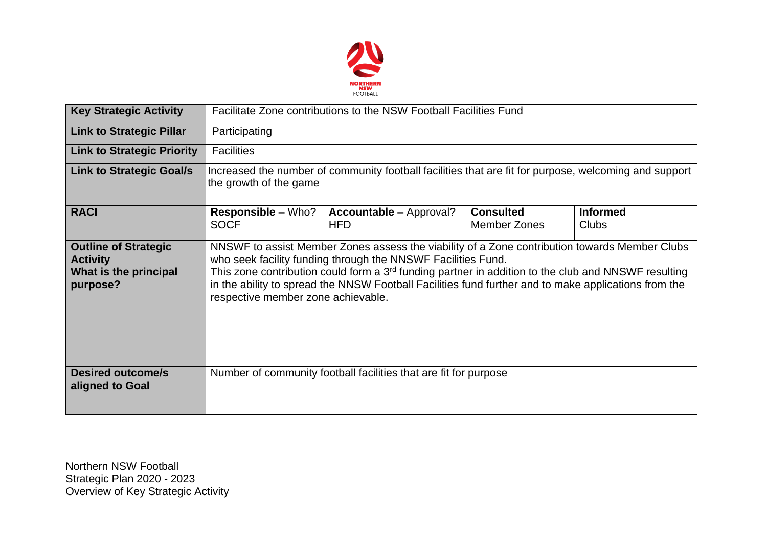

| <b>Key Strategic Activity</b>                                                       | Facilitate Zone contributions to the NSW Football Facilities Fund                                                                                                                                                                                                                                                                                                                                                              |                                                                  |                                  |                                 |  |  |  |
|-------------------------------------------------------------------------------------|--------------------------------------------------------------------------------------------------------------------------------------------------------------------------------------------------------------------------------------------------------------------------------------------------------------------------------------------------------------------------------------------------------------------------------|------------------------------------------------------------------|----------------------------------|---------------------------------|--|--|--|
| <b>Link to Strategic Pillar</b>                                                     | Participating                                                                                                                                                                                                                                                                                                                                                                                                                  |                                                                  |                                  |                                 |  |  |  |
| <b>Link to Strategic Priority</b>                                                   | <b>Facilities</b>                                                                                                                                                                                                                                                                                                                                                                                                              |                                                                  |                                  |                                 |  |  |  |
| <b>Link to Strategic Goal/s</b>                                                     | Increased the number of community football facilities that are fit for purpose, welcoming and support<br>the growth of the game                                                                                                                                                                                                                                                                                                |                                                                  |                                  |                                 |  |  |  |
| <b>RACI</b>                                                                         | <b>Responsible – Who?</b><br><b>SOCF</b>                                                                                                                                                                                                                                                                                                                                                                                       | <b>Accountable - Approval?</b><br><b>HFD</b>                     | <b>Consulted</b><br>Member Zones | <b>Informed</b><br><b>Clubs</b> |  |  |  |
| <b>Outline of Strategic</b><br><b>Activity</b><br>What is the principal<br>purpose? | NNSWF to assist Member Zones assess the viability of a Zone contribution towards Member Clubs<br>who seek facility funding through the NNSWF Facilities Fund.<br>This zone contribution could form a 3 <sup>rd</sup> funding partner in addition to the club and NNSWF resulting<br>in the ability to spread the NNSW Football Facilities fund further and to make applications from the<br>respective member zone achievable. |                                                                  |                                  |                                 |  |  |  |
| <b>Desired outcome/s</b><br>aligned to Goal                                         |                                                                                                                                                                                                                                                                                                                                                                                                                                | Number of community football facilities that are fit for purpose |                                  |                                 |  |  |  |

Northern NSW Football Strategic Plan 2020 - 2023 Overview of Key Strategic Activity